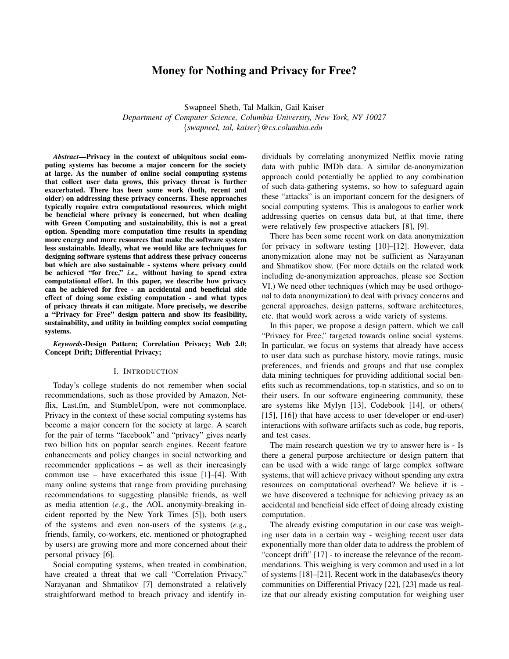# Money for Nothing and Privacy for Free?

Swapneel Sheth, Tal Malkin, Gail Kaiser *Department of Computer Science, Columbia University, New York, NY 10027* {*swapneel, tal, kaiser*}*@cs.columbia.edu*

*Abstract*—Privacy in the context of ubiquitous social computing systems has become a major concern for the society at large. As the number of online social computing systems that collect user data grows, this privacy threat is further exacerbated. There has been some work (both, recent and older) on addressing these privacy concerns. These approaches typically require extra computational resources, which might be beneficial where privacy is concerned, but when dealing with Green Computing and sustainability, this is not a great option. Spending more computation time results in spending more energy and more resources that make the software system less sustainable. Ideally, what we would like are techniques for designing software systems that address these privacy concerns but which are also sustainable - systems where privacy could be achieved "for free," *i.e.,* without having to spend extra computational effort. In this paper, we describe how privacy can be achieved for free - an accidental and beneficial side effect of doing some existing computation - and what types of privacy threats it can mitigate. More precisely, we describe a "Privacy for Free" design pattern and show its feasibility, sustainability, and utility in building complex social computing systems.

*Keywords*-Design Pattern; Correlation Privacy; Web 2.0; Concept Drift; Differential Privacy;

#### I. INTRODUCTION

Today's college students do not remember when social recommendations, such as those provided by Amazon, Netflix, Last.fm, and StumbleUpon, were not commonplace. Privacy in the context of these social computing systems has become a major concern for the society at large. A search for the pair of terms "facebook" and "privacy" gives nearly two billion hits on popular search engines. Recent feature enhancements and policy changes in social networking and recommender applications – as well as their increasingly common use – have exacerbated this issue [1]–[4]. With many online systems that range from providing purchasing recommendations to suggesting plausible friends, as well as media attention (*e.g.,* the AOL anonymity-breaking incident reported by the New York Times [5]), both users of the systems and even non-users of the systems (*e.g.,* friends, family, co-workers, etc. mentioned or photographed by users) are growing more and more concerned about their personal privacy [6].

Social computing systems, when treated in combination, have created a threat that we call "Correlation Privacy." Narayanan and Shmatikov [7] demonstrated a relatively straightforward method to breach privacy and identify individuals by correlating anonymized Netflix movie rating data with public IMDb data. A similar de-anonymization approach could potentially be applied to any combination of such data-gathering systems, so how to safeguard again these "attacks" is an important concern for the designers of social computing systems. This is analogous to earlier work addressing queries on census data but, at that time, there were relatively few prospective attackers [8], [9].

There has been some recent work on data anonymization for privacy in software testing [10]–[12]. However, data anonymization alone may not be sufficient as Narayanan and Shmatikov show. (For more details on the related work including de-anonymization approaches, please see Section VI.) We need other techniques (which may be used orthogonal to data anonymization) to deal with privacy concerns and general approaches, design patterns, software architectures, etc. that would work across a wide variety of systems.

In this paper, we propose a design pattern, which we call "Privacy for Free," targeted towards online social systems. In particular, we focus on systems that already have access to user data such as purchase history, movie ratings, music preferences, and friends and groups and that use complex data mining techniques for providing additional social benefits such as recommendations, top-n statistics, and so on to their users. In our software engineering community, these are systems like Mylyn [13], Codebook [14], or others( [15], [16]) that have access to user (developer or end-user) interactions with software artifacts such as code, bug reports, and test cases.

The main research question we try to answer here is - Is there a general purpose architecture or design pattern that can be used with a wide range of large complex software systems, that will achieve privacy without spending any extra resources on computational overhead? We believe it is we have discovered a technique for achieving privacy as an accidental and beneficial side effect of doing already existing computation.

The already existing computation in our case was weighing user data in a certain way - weighing recent user data exponentially more than older data to address the problem of "concept drift" [17] - to increase the relevance of the recommendations. This weighing is very common and used in a lot of systems [18]–[21]. Recent work in the databases/cs theory communities on Differential Privacy [22], [23] made us realize that our already existing computation for weighing user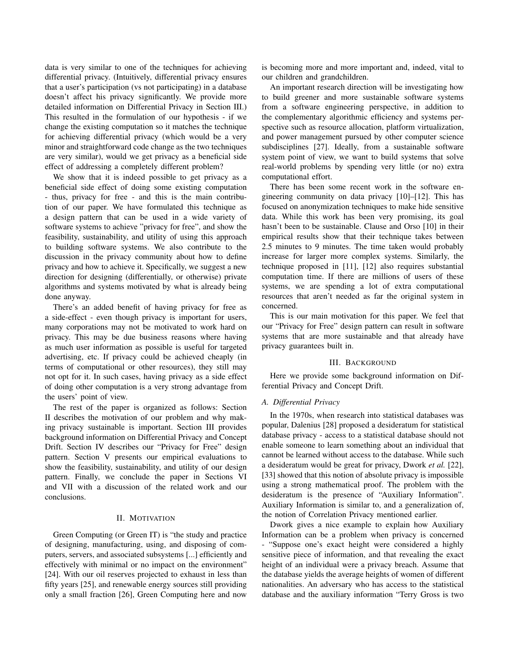data is very similar to one of the techniques for achieving differential privacy. (Intuitively, differential privacy ensures that a user's participation (vs not participating) in a database doesn't affect his privacy significantly. We provide more detailed information on Differential Privacy in Section III.) This resulted in the formulation of our hypothesis - if we change the existing computation so it matches the technique for achieving differential privacy (which would be a very minor and straightforward code change as the two techniques are very similar), would we get privacy as a beneficial side effect of addressing a completely different problem?

We show that it is indeed possible to get privacy as a beneficial side effect of doing some existing computation - thus, privacy for free - and this is the main contribution of our paper. We have formulated this technique as a design pattern that can be used in a wide variety of software systems to achieve "privacy for free", and show the feasibility, sustainability, and utility of using this approach to building software systems. We also contribute to the discussion in the privacy community about how to define privacy and how to achieve it. Specifically, we suggest a new direction for designing (differentially, or otherwise) private algorithms and systems motivated by what is already being done anyway.

There's an added benefit of having privacy for free as a side-effect - even though privacy is important for users, many corporations may not be motivated to work hard on privacy. This may be due business reasons where having as much user information as possible is useful for targeted advertising, etc. If privacy could be achieved cheaply (in terms of computational or other resources), they still may not opt for it. In such cases, having privacy as a side effect of doing other computation is a very strong advantage from the users' point of view.

The rest of the paper is organized as follows: Section II describes the motivation of our problem and why making privacy sustainable is important. Section III provides background information on Differential Privacy and Concept Drift. Section IV describes our "Privacy for Free" design pattern. Section V presents our empirical evaluations to show the feasibility, sustainability, and utility of our design pattern. Finally, we conclude the paper in Sections VI and VII with a discussion of the related work and our conclusions.

### II. MOTIVATION

Green Computing (or Green IT) is "the study and practice of designing, manufacturing, using, and disposing of computers, servers, and associated subsystems [...] efficiently and effectively with minimal or no impact on the environment" [24]. With our oil reserves projected to exhaust in less than fifty years [25], and renewable energy sources still providing only a small fraction [26], Green Computing here and now is becoming more and more important and, indeed, vital to our children and grandchildren.

An important research direction will be investigating how to build greener and more sustainable software systems from a software engineering perspective, in addition to the complementary algorithmic efficiency and systems perspective such as resource allocation, platform virtualization, and power management pursued by other computer science subdisciplines [27]. Ideally, from a sustainable software system point of view, we want to build systems that solve real-world problems by spending very little (or no) extra computational effort.

There has been some recent work in the software engineering community on data privacy [10]–[12]. This has focused on anonymization techniques to make hide sensitive data. While this work has been very promising, its goal hasn't been to be sustainable. Clause and Orso [10] in their empirical results show that their technique takes between 2.5 minutes to 9 minutes. The time taken would probably increase for larger more complex systems. Similarly, the technique proposed in [11], [12] also requires substantial computation time. If there are millions of users of these systems, we are spending a lot of extra computational resources that aren't needed as far the original system in concerned.

This is our main motivation for this paper. We feel that our "Privacy for Free" design pattern can result in software systems that are more sustainable and that already have privacy guarantees built in.

#### III. BACKGROUND

Here we provide some background information on Differential Privacy and Concept Drift.

### *A. Differential Privacy*

In the 1970s, when research into statistical databases was popular, Dalenius [28] proposed a desideratum for statistical database privacy - access to a statistical database should not enable someone to learn something about an individual that cannot be learned without access to the database. While such a desideratum would be great for privacy, Dwork *et al.* [22], [33] showed that this notion of absolute privacy is impossible using a strong mathematical proof. The problem with the desideratum is the presence of "Auxiliary Information". Auxiliary Information is similar to, and a generalization of, the notion of Correlation Privacy mentioned earlier.

Dwork gives a nice example to explain how Auxiliary Information can be a problem when privacy is concerned - "Suppose one's exact height were considered a highly sensitive piece of information, and that revealing the exact height of an individual were a privacy breach. Assume that the database yields the average heights of women of different nationalities. An adversary who has access to the statistical database and the auxiliary information "Terry Gross is two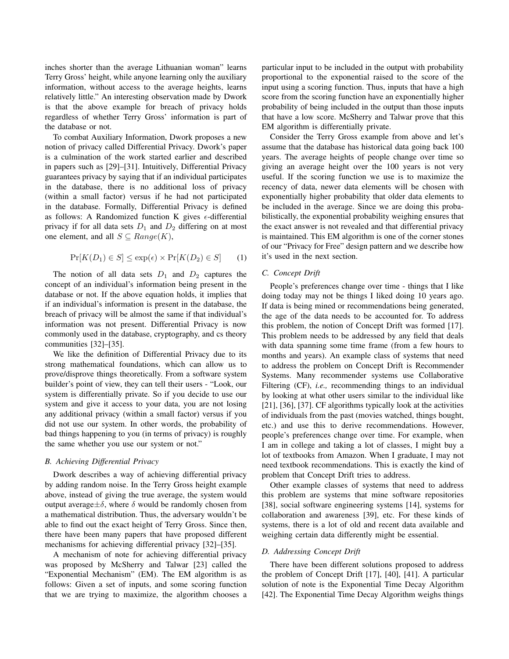inches shorter than the average Lithuanian woman" learns Terry Gross' height, while anyone learning only the auxiliary information, without access to the average heights, learns relatively little." An interesting observation made by Dwork is that the above example for breach of privacy holds regardless of whether Terry Gross' information is part of the database or not.

To combat Auxiliary Information, Dwork proposes a new notion of privacy called Differential Privacy. Dwork's paper is a culmination of the work started earlier and described in papers such as [29]–[31]. Intuitively, Differential Privacy guarantees privacy by saying that if an individual participates in the database, there is no additional loss of privacy (within a small factor) versus if he had not participated in the database. Formally, Differential Privacy is defined as follows: A Randomized function K gives  $\epsilon$ -differential privacy if for all data sets  $D_1$  and  $D_2$  differing on at most one element, and all  $S \subseteq Range(K)$ ,

$$
\Pr[K(D_1) \in S] \le \exp(\epsilon) \times \Pr[K(D_2) \in S] \tag{1}
$$

The notion of all data sets  $D_1$  and  $D_2$  captures the concept of an individual's information being present in the database or not. If the above equation holds, it implies that if an individual's information is present in the database, the breach of privacy will be almost the same if that individual's information was not present. Differential Privacy is now commonly used in the database, cryptography, and cs theory communities [32]–[35].

We like the definition of Differential Privacy due to its strong mathematical foundations, which can allow us to prove/disprove things theoretically. From a software system builder's point of view, they can tell their users - "Look, our system is differentially private. So if you decide to use our system and give it access to your data, you are not losing any additional privacy (within a small factor) versus if you did not use our system. In other words, the probability of bad things happening to you (in terms of privacy) is roughly the same whether you use our system or not."

### *B. Achieving Differential Privacy*

Dwork describes a way of achieving differential privacy by adding random noise. In the Terry Gross height example above, instead of giving the true average, the system would output average  $\pm \delta$ , where δ would be randomly chosen from a mathematical distribution. Thus, the adversary wouldn't be able to find out the exact height of Terry Gross. Since then, there have been many papers that have proposed different mechanisms for achieving differential privacy [32]–[35].

A mechanism of note for achieving differential privacy was proposed by McSherry and Talwar [23] called the "Exponential Mechanism" (EM). The EM algorithm is as follows: Given a set of inputs, and some scoring function that we are trying to maximize, the algorithm chooses a particular input to be included in the output with probability proportional to the exponential raised to the score of the input using a scoring function. Thus, inputs that have a high score from the scoring function have an exponentially higher probability of being included in the output than those inputs that have a low score. McSherry and Talwar prove that this EM algorithm is differentially private.

Consider the Terry Gross example from above and let's assume that the database has historical data going back 100 years. The average heights of people change over time so giving an average height over the 100 years is not very useful. If the scoring function we use is to maximize the recency of data, newer data elements will be chosen with exponentially higher probability that older data elements to be included in the average. Since we are doing this probabilistically, the exponential probability weighing ensures that the exact answer is not revealed and that differential privacy is maintained. This EM algorithm is one of the corner stones of our "Privacy for Free" design pattern and we describe how it's used in the next section.

#### *C. Concept Drift*

People's preferences change over time - things that I like doing today may not be things I liked doing 10 years ago. If data is being mined or recommendations being generated, the age of the data needs to be accounted for. To address this problem, the notion of Concept Drift was formed [17]. This problem needs to be addressed by any field that deals with data spanning some time frame (from a few hours to months and years). An example class of systems that need to address the problem on Concept Drift is Recommender Systems. Many recommender systems use Collaborative Filtering (CF), *i.e.,* recommending things to an individual by looking at what other users similar to the individual like [21], [36], [37]. CF algorithms typically look at the activities of individuals from the past (movies watched, things bought, etc.) and use this to derive recommendations. However, people's preferences change over time. For example, when I am in college and taking a lot of classes, I might buy a lot of textbooks from Amazon. When I graduate, I may not need textbook recommendations. This is exactly the kind of problem that Concept Drift tries to address.

Other example classes of systems that need to address this problem are systems that mine software repositories [38], social software engineering systems [14], systems for collaboration and awareness [39], etc. For these kinds of systems, there is a lot of old and recent data available and weighing certain data differently might be essential.

### *D. Addressing Concept Drift*

There have been different solutions proposed to address the problem of Concept Drift [17], [40], [41]. A particular solution of note is the Exponential Time Decay Algorithm [42]. The Exponential Time Decay Algorithm weighs things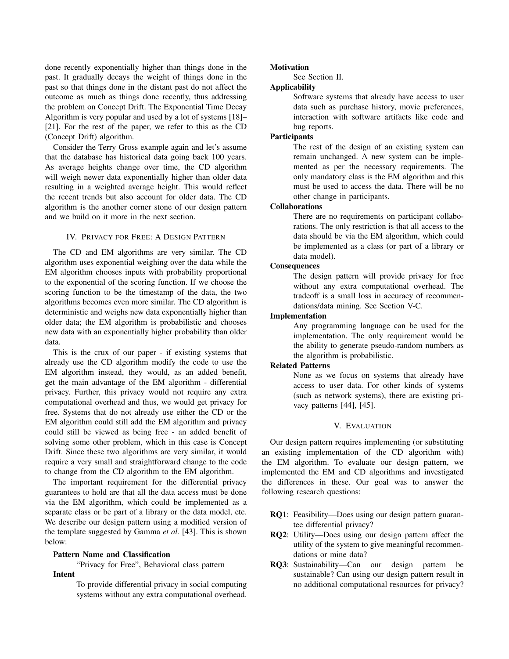done recently exponentially higher than things done in the past. It gradually decays the weight of things done in the past so that things done in the distant past do not affect the outcome as much as things done recently, thus addressing the problem on Concept Drift. The Exponential Time Decay Algorithm is very popular and used by a lot of systems [18]– [21]. For the rest of the paper, we refer to this as the CD (Concept Drift) algorithm.

Consider the Terry Gross example again and let's assume that the database has historical data going back 100 years. As average heights change over time, the CD algorithm will weigh newer data exponentially higher than older data resulting in a weighted average height. This would reflect the recent trends but also account for older data. The CD algorithm is the another corner stone of our design pattern and we build on it more in the next section.

### IV. PRIVACY FOR FREE: A DESIGN PATTERN

The CD and EM algorithms are very similar. The CD algorithm uses exponential weighing over the data while the EM algorithm chooses inputs with probability proportional to the exponential of the scoring function. If we choose the scoring function to be the timestamp of the data, the two algorithms becomes even more similar. The CD algorithm is deterministic and weighs new data exponentially higher than older data; the EM algorithm is probabilistic and chooses new data with an exponentially higher probability than older data.

This is the crux of our paper - if existing systems that already use the CD algorithm modify the code to use the EM algorithm instead, they would, as an added benefit, get the main advantage of the EM algorithm - differential privacy. Further, this privacy would not require any extra computational overhead and thus, we would get privacy for free. Systems that do not already use either the CD or the EM algorithm could still add the EM algorithm and privacy could still be viewed as being free - an added benefit of solving some other problem, which in this case is Concept Drift. Since these two algorithms are very similar, it would require a very small and straightforward change to the code to change from the CD algorithm to the EM algorithm.

The important requirement for the differential privacy guarantees to hold are that all the data access must be done via the EM algorithm, which could be implemented as a separate class or be part of a library or the data model, etc. We describe our design pattern using a modified version of the template suggested by Gamma *et al.* [43]. This is shown below:

### Pattern Name and Classification

"Privacy for Free", Behavioral class pattern

### Intent

To provide differential privacy in social computing systems without any extra computational overhead.

### **Motivation**

See Section II.

# Applicability

Software systems that already have access to user data such as purchase history, movie preferences, interaction with software artifacts like code and bug reports.

## Participants

The rest of the design of an existing system can remain unchanged. A new system can be implemented as per the necessary requirements. The only mandatory class is the EM algorithm and this must be used to access the data. There will be no other change in participants.

### Collaborations

There are no requirements on participant collaborations. The only restriction is that all access to the data should be via the EM algorithm, which could be implemented as a class (or part of a library or data model).

### **Consequences**

The design pattern will provide privacy for free without any extra computational overhead. The tradeoff is a small loss in accuracy of recommendations/data mining. See Section V-C.

### Implementation

Any programming language can be used for the implementation. The only requirement would be the ability to generate pseudo-random numbers as the algorithm is probabilistic.

## Related Patterns

None as we focus on systems that already have access to user data. For other kinds of systems (such as network systems), there are existing privacy patterns [44], [45].

### V. EVALUATION

Our design pattern requires implementing (or substituting an existing implementation of the CD algorithm with) the EM algorithm. To evaluate our design pattern, we implemented the EM and CD algorithms and investigated the differences in these. Our goal was to answer the following research questions:

- RQ1: Feasibility—Does using our design pattern guarantee differential privacy?
- RQ2: Utility—Does using our design pattern affect the utility of the system to give meaningful recommendations or mine data?
- RQ3: Sustainability—Can our design pattern be sustainable? Can using our design pattern result in no additional computational resources for privacy?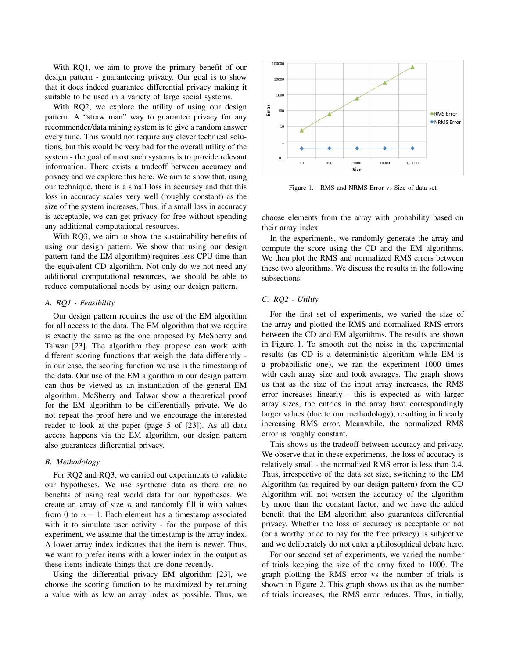With RQ1, we aim to prove the primary benefit of our design pattern - guaranteeing privacy. Our goal is to show that it does indeed guarantee differential privacy making it suitable to be used in a variety of large social systems.

With RQ2, we explore the utility of using our design pattern. A "straw man" way to guarantee privacy for any recommender/data mining system is to give a random answer every time. This would not require any clever technical solutions, but this would be very bad for the overall utility of the system - the goal of most such systems is to provide relevant information. There exists a tradeoff between accuracy and privacy and we explore this here. We aim to show that, using our technique, there is a small loss in accuracy and that this loss in accuracy scales very well (roughly constant) as the size of the system increases. Thus, if a small loss in accuracy is acceptable, we can get privacy for free without spending any additional computational resources.

With RQ3, we aim to show the sustainability benefits of using our design pattern. We show that using our design pattern (and the EM algorithm) requires less CPU time than the equivalent CD algorithm. Not only do we not need any additional computational resources, we should be able to reduce computational needs by using our design pattern.

### *A. RQ1 - Feasibility*

Our design pattern requires the use of the EM algorithm for all access to the data. The EM algorithm that we require is exactly the same as the one proposed by McSherry and Talwar [23]. The algorithm they propose can work with different scoring functions that weigh the data differently in our case, the scoring function we use is the timestamp of the data. Our use of the EM algorithm in our design pattern can thus be viewed as an instantiation of the general EM algorithm. McSherry and Talwar show a theoretical proof for the EM algorithm to be differentially private. We do not repeat the proof here and we encourage the interested reader to look at the paper (page 5 of [23]). As all data access happens via the EM algorithm, our design pattern also guarantees differential privacy.

### *B. Methodology*

For RQ2 and RQ3, we carried out experiments to validate our hypotheses. We use synthetic data as there are no benefits of using real world data for our hypotheses. We create an array of size  $n$  and randomly fill it with values from 0 to  $n - 1$ . Each element has a timestamp associated with it to simulate user activity - for the purpose of this experiment, we assume that the timestamp is the array index. A lower array index indicates that the item is newer. Thus, we want to prefer items with a lower index in the output as these items indicate things that are done recently.

Using the differential privacy EM algorithm [23], we choose the scoring function to be maximized by returning a value with as low an array index as possible. Thus, we



Figure 1. RMS and NRMS Error vs Size of data set

choose elements from the array with probability based on their array index.

In the experiments, we randomly generate the array and compute the score using the CD and the EM algorithms. We then plot the RMS and normalized RMS errors between these two algorithms. We discuss the results in the following subsections.

### *C. RQ2 - Utility*

For the first set of experiments, we varied the size of the array and plotted the RMS and normalized RMS errors between the CD and EM algorithms. The results are shown in Figure 1. To smooth out the noise in the experimental results (as CD is a deterministic algorithm while EM is a probabilistic one), we ran the experiment 1000 times with each array size and took averages. The graph shows us that as the size of the input array increases, the RMS error increases linearly - this is expected as with larger array sizes, the entries in the array have correspondingly larger values (due to our methodology), resulting in linearly increasing RMS error. Meanwhile, the normalized RMS error is roughly constant.

This shows us the tradeoff between accuracy and privacy. We observe that in these experiments, the loss of accuracy is relatively small - the normalized RMS error is less than 0.4. Thus, irrespective of the data set size, switching to the EM Algorithm (as required by our design pattern) from the CD Algorithm will not worsen the accuracy of the algorithm by more than the constant factor, and we have the added benefit that the EM algorithm also guarantees differential privacy. Whether the loss of accuracy is acceptable or not (or a worthy price to pay for the free privacy) is subjective and we deliberately do not enter a philosophical debate here.

For our second set of experiments, we varied the number of trials keeping the size of the array fixed to 1000. The graph plotting the RMS error vs the number of trials is shown in Figure 2. This graph shows us that as the number of trials increases, the RMS error reduces. Thus, initially,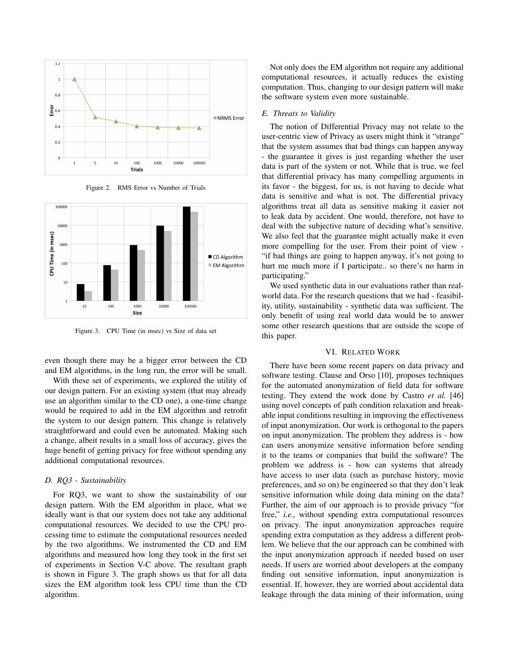

Figure 2. RMS Error vs Number of Trials



Figure 3. CPU Time (in msec) vs Size of data set

even though there may be a bigger error between the CD and EM algorithms, in the long run, the error will be small.

With these set of experiments, we explored the utility of our design pattern. For an existing system (that may already use an algorithm similar to the CD one), a one-time change would be required to add in the EM algorithm and retrofit the system to our design pattern. This change is relatively straightforward and could even be automated. Making such a change, albeit results in a small loss of accuracy, gives the huge benefit of getting privacy for free without spending any additional computational resources.

#### *D. RQ3 - Sustainability*

For RQ3, we want to show the sustainability of our design pattern. With the EM algorithm in place, what we ideally want is that our system does not take any additional computational resources. We decided to use the CPU processing time to estimate the computational resources needed by the two algorithms. We instrumented the CD and EM algorithms and measured how long they took in the first set of experiments in Section V-C above. The resultant graph is shown in Figure 3. The graph shows us that for all data sizes the EM algorithm took less CPU time than the CD algorithm.

Not only does the EM algorithm not require any additional computational resources, it actually reduces the existing computation. Thus, changing to our design pattern will make the software system even more sustainable.

### *E. Threats to Validity*

The notion of Differential Privacy may not relate to the user-centric view of Privacy as users might think it "strange" that the system assumes that bad things can happen anyway - the guarantee it gives is just regarding whether the user data is part of the system or not. While that is true, we feel that differential privacy has many compelling arguments in its favor - the biggest, for us, is not having to decide what data is sensitive and what is not. The differential privacy algorithms treat all data as sensitive making it easier not to leak data by accident. One would, therefore, not have to deal with the subjective nature of deciding what's sensitive. We also feel that the guarantee might actually make it even more compelling for the user. From their point of view - "if bad things are going to happen anyway, it's not going to hurt me much more if I participate.. so there's no harm in participating."

We used synthetic data in our evaluations rather than realworld data. For the research questions that we had - feasibility, utility, sustainability - synthetic data was sufficient. The only benefit of using real world data would be to answer some other research questions that are outside the scope of this paper.

### VI. RELATED WORK

There have been some recent papers on data privacy and software testing. Clause and Orso [10], proposes techniques for the automated anonymization of field data for software testing. They extend the work done by Castro *et al.* [46] using novel concepts of path condition relaxation and breakable input conditions resulting in improving the effectiveness of input anonymization. Our work is orthogonal to the papers on input anonymization. The problem they address is - how can users anonymize sensitive information before sending it to the teams or companies that build the software? The problem we address is - how can systems that already have access to user data (such as purchase history, movie preferences, and so on) be engineered so that they don't leak sensitive information while doing data mining on the data? Further, the aim of our approach is to provide privacy "for free," *i.e.,* without spending extra computational resources on privacy. The input anonymization approaches require spending extra computation as they address a different problem. We believe that the our approach can be combined with the input anonymization approach if needed based on user needs. If users are worried about developers at the company finding out sensitive information, input anonymization is essential. If, however, they are worried about accidental data leakage through the data mining of their information, using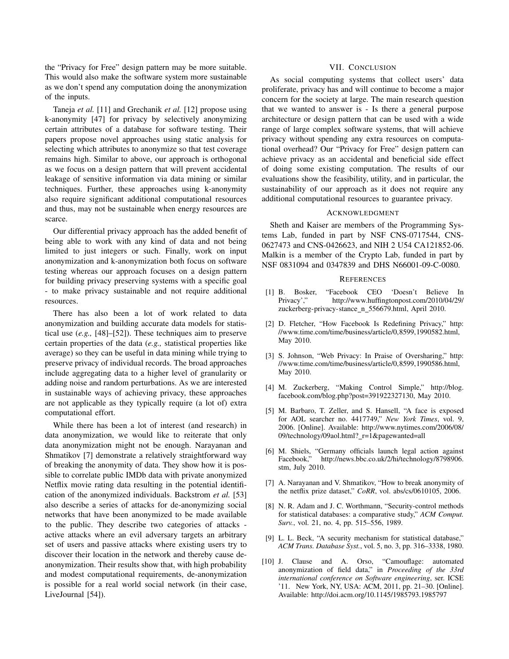the "Privacy for Free" design pattern may be more suitable. This would also make the software system more sustainable as we don't spend any computation doing the anonymization of the inputs.

Taneja *et al.* [11] and Grechanik *et al.* [12] propose using k-anonymity [47] for privacy by selectively anonymizing certain attributes of a database for software testing. Their papers propose novel approaches using static analysis for selecting which attributes to anonymize so that test coverage remains high. Similar to above, our approach is orthogonal as we focus on a design pattern that will prevent accidental leakage of sensitive information via data mining or similar techniques. Further, these approaches using k-anonymity also require significant additional computational resources and thus, may not be sustainable when energy resources are scarce.

Our differential privacy approach has the added benefit of being able to work with any kind of data and not being limited to just integers or such. Finally, work on input anonymization and k-anonymization both focus on software testing whereas our approach focuses on a design pattern for building privacy preserving systems with a specific goal - to make privacy sustainable and not require additional resources.

There has also been a lot of work related to data anonymization and building accurate data models for statistical use (*e.g.,* [48]–[52]). These techniques aim to preserve certain properties of the data (*e.g.,* statistical properties like average) so they can be useful in data mining while trying to preserve privacy of individual records. The broad approaches include aggregating data to a higher level of granularity or adding noise and random perturbations. As we are interested in sustainable ways of achieving privacy, these approaches are not applicable as they typically require (a lot of) extra computational effort.

While there has been a lot of interest (and research) in data anonymization, we would like to reiterate that only data anonymization might not be enough. Narayanan and Shmatikov [7] demonstrate a relatively straightforward way of breaking the anonymity of data. They show how it is possible to correlate public IMDb data with private anonymized Netflix movie rating data resulting in the potential identification of the anonymized individuals. Backstrom *et al.* [53] also describe a series of attacks for de-anonymizing social networks that have been anonymized to be made available to the public. They describe two categories of attacks active attacks where an evil adversary targets an arbitrary set of users and passive attacks where existing users try to discover their location in the network and thereby cause deanonymization. Their results show that, with high probability and modest computational requirements, de-anonymization is possible for a real world social network (in their case, LiveJournal [54]).

### VII. CONCLUSION

As social computing systems that collect users' data proliferate, privacy has and will continue to become a major concern for the society at large. The main research question that we wanted to answer is - Is there a general purpose architecture or design pattern that can be used with a wide range of large complex software systems, that will achieve privacy without spending any extra resources on computational overhead? Our "Privacy for Free" design pattern can achieve privacy as an accidental and beneficial side effect of doing some existing computation. The results of our evaluations show the feasibility, utility, and in particular, the sustainability of our approach as it does not require any additional computational resources to guarantee privacy.

#### ACKNOWLEDGMENT

Sheth and Kaiser are members of the Programming Systems Lab, funded in part by NSF CNS-0717544, CNS-0627473 and CNS-0426623, and NIH 2 U54 CA121852-06. Malkin is a member of the Crypto Lab, funded in part by NSF 0831094 and 0347839 and DHS N66001-09-C-0080.

#### **REFERENCES**

- [1] B. Bosker, "Facebook CEO 'Doesn't Believe In Privacy'," http://www.huffingtonpost.com/2010/04/29/ zuckerberg-privacy-stance n 556679.html, April 2010.
- [2] D. Fletcher, "How Facebook Is Redefining Privacy," http: //www.time.com/time/business/article/0,8599,1990582.html, May 2010.
- [3] S. Johnson, "Web Privacy: In Praise of Oversharing," http: //www.time.com/time/business/article/0,8599,1990586.html, May 2010.
- [4] M. Zuckerberg, "Making Control Simple," http://blog. facebook.com/blog.php?post=391922327130, May 2010.
- [5] M. Barbaro, T. Zeller, and S. Hansell, "A face is exposed for AOL searcher no. 4417749," *New York Times*, vol. 9, 2006. [Online]. Available: http://www.nytimes.com/2006/08/ 09/technology/09aol.html?\_r=1&pagewanted=all
- [6] M. Shiels, "Germany officials launch legal action against Facebook," http://news.bbc.co.uk/2/hi/technology/8798906. stm, July 2010.
- [7] A. Narayanan and V. Shmatikov, "How to break anonymity of the netflix prize dataset," *CoRR*, vol. abs/cs/0610105, 2006.
- [8] N. R. Adam and J. C. Worthmann, "Security-control methods for statistical databases: a comparative study," *ACM Comput. Surv.*, vol. 21, no. 4, pp. 515–556, 1989.
- [9] L. L. Beck, "A security mechanism for statistical database," *ACM Trans. Database Syst.*, vol. 5, no. 3, pp. 316–3338, 1980.
- [10] J. Clause and A. Orso, "Camouflage: automated anonymization of field data," in *Proceeding of the 33rd international conference on Software engineering*, ser. ICSE '11. New York, NY, USA: ACM, 2011, pp. 21–30. [Online]. Available: http://doi.acm.org/10.1145/1985793.1985797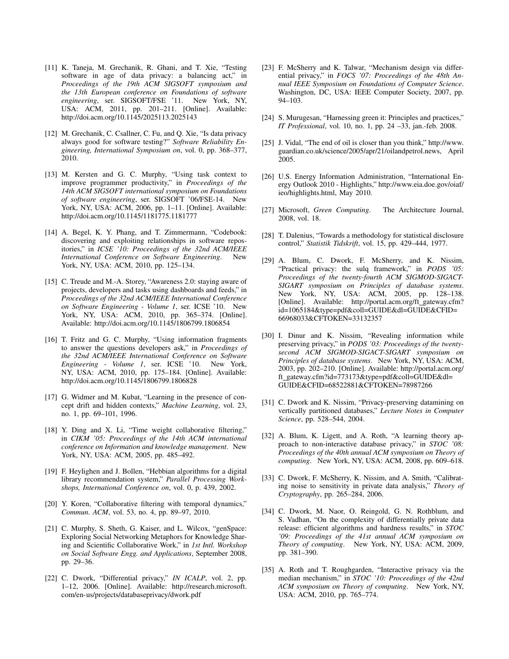- [11] K. Taneja, M. Grechanik, R. Ghani, and T. Xie, "Testing software in age of data privacy: a balancing act," in *Proceedings of the 19th ACM SIGSOFT symposium and the 13th European conference on Foundations of software* engineering, ser. SIGSOFT/FSE '11. New York, NY, USA: ACM, 2011, pp. 201–211. [Online]. Available: http://doi.acm.org/10.1145/2025113.2025143
- [12] M. Grechanik, C. Csallner, C. Fu, and Q. Xie, "Is data privacy always good for software testing?" *Software Reliability Engineering, International Symposium on*, vol. 0, pp. 368–377, 2010.
- [13] M. Kersten and G. C. Murphy, "Using task context to improve programmer productivity," in *Proceedings of the 14th ACM SIGSOFT international symposium on Foundations of software engineering*, ser. SIGSOFT '06/FSE-14. New York, NY, USA: ACM, 2006, pp. 1–11. [Online]. Available: http://doi.acm.org/10.1145/1181775.1181777
- [14] A. Begel, K. Y. Phang, and T. Zimmermann, "Codebook: discovering and exploiting relationships in software repositories," in *ICSE '10: Proceedings of the 32nd ACM/IEEE International Conference on Software Engineering*. New York, NY, USA: ACM, 2010, pp. 125–134.
- [15] C. Treude and M.-A. Storey, "Awareness 2.0: staying aware of projects, developers and tasks using dashboards and feeds," in *Proceedings of the 32nd ACM/IEEE International Conference on Software Engineering - Volume 1*, ser. ICSE '10. New York, NY, USA: ACM, 2010, pp. 365–374. [Online]. Available: http://doi.acm.org/10.1145/1806799.1806854
- [16] T. Fritz and G. C. Murphy, "Using information fragments to answer the questions developers ask," in *Proceedings of the 32nd ACM/IEEE International Conference on Software Engineering - Volume 1*, ser. ICSE '10. New York, NY, USA: ACM, 2010, pp. 175–184. [Online]. Available: http://doi.acm.org/10.1145/1806799.1806828
- [17] G. Widmer and M. Kubat, "Learning in the presence of concept drift and hidden contexts," *Machine Learning*, vol. 23, no. 1, pp. 69–101, 1996.
- [18] Y. Ding and X. Li, "Time weight collaborative filtering," in *CIKM '05: Proceedings of the 14th ACM international conference on Information and knowledge management*. New York, NY, USA: ACM, 2005, pp. 485–492.
- [19] F. Heylighen and J. Bollen, "Hebbian algorithms for a digital library recommendation system," *Parallel Processing Workshops, International Conference on*, vol. 0, p. 439, 2002.
- [20] Y. Koren, "Collaborative filtering with temporal dynamics," *Commun. ACM*, vol. 53, no. 4, pp. 89–97, 2010.
- [21] C. Murphy, S. Sheth, G. Kaiser, and L. Wilcox, "genSpace: Exploring Social Networking Metaphors for Knowledge Sharing and Scientific Collaborative Work," in *1st Intl. Workshop on Social Software Engg. and Applications*, September 2008, pp. 29–36.
- [22] C. Dwork, "Differential privacy," *IN ICALP*, vol. 2, pp. 1–12, 2006. [Online]. Available: http://research.microsoft. com/en-us/projects/databaseprivacy/dwork.pdf
- [23] F. McSherry and K. Talwar, "Mechanism design via differential privacy," in *FOCS '07: Proceedings of the 48th Annual IEEE Symposium on Foundations of Computer Science*. Washington, DC, USA: IEEE Computer Society, 2007, pp. 94–103.
- [24] S. Murugesan, "Harnessing green it: Principles and practices," *IT Professional*, vol. 10, no. 1, pp. 24 –33, jan.-feb. 2008.
- [25] J. Vidal, "The end of oil is closer than you think," http://www. guardian.co.uk/science/2005/apr/21/oilandpetrol.news, April 2005.
- [26] U.S. Energy Information Administration, "International Energy Outlook 2010 - Highlights," http://www.eia.doe.gov/oiaf/ ieo/highlights.html, May 2010.
- [27] Microsoft, *Green Computing*. The Architecture Journal, 2008, vol. 18.
- [28] T. Dalenius, "Towards a methodology for statistical disclosure control," *Statistik Tidskrift*, vol. 15, pp. 429–444, 1977.
- [29] A. Blum, C. Dwork, F. McSherry, and K. Nissim, "Practical privacy: the sulq framework," in *PODS '05: Proceedings of the twenty-fourth ACM SIGMOD-SIGACT-SIGART symposium on Principles of database systems*. New York, NY, USA: ACM, 2005, pp. 128–138. [Online]. Available: http://portal.acm.org/ft\_gateway.cfm? id=1065184&type=pdf&coll=GUIDE&dl=GUIDE&CFID= 66968033&CFTOKEN=33132357
- [30] I. Dinur and K. Nissim, "Revealing information while preserving privacy," in *PODS '03: Proceedings of the twentysecond ACM SIGMOD-SIGACT-SIGART symposium on Principles of database systems*. New York, NY, USA: ACM, 2003, pp. 202–210. [Online]. Available: http://portal.acm.org/ ft gateway.cfm?id=773173&type=pdf&coll=GUIDE&dl= GUIDE&CFID=68522881&CFTOKEN=78987266
- [31] C. Dwork and K. Nissim, "Privacy-preserving datamining on vertically partitioned databases," *Lecture Notes in Computer Science*, pp. 528–544, 2004.
- [32] A. Blum, K. Ligett, and A. Roth, "A learning theory approach to non-interactive database privacy," in *STOC '08: Proceedings of the 40th annual ACM symposium on Theory of computing*. New York, NY, USA: ACM, 2008, pp. 609–618.
- [33] C. Dwork, F. McSherry, K. Nissim, and A. Smith, "Calibrating noise to sensitivity in private data analysis," *Theory of Cryptography*, pp. 265–284, 2006.
- [34] C. Dwork, M. Naor, O. Reingold, G. N. Rothblum, and S. Vadhan, "On the complexity of differentially private data release: efficient algorithms and hardness results," in *STOC '09: Proceedings of the 41st annual ACM symposium on Theory of computing*. New York, NY, USA: ACM, 2009, pp. 381–390.
- [35] A. Roth and T. Roughgarden, "Interactive privacy via the median mechanism," in *STOC '10: Proceedings of the 42nd ACM symposium on Theory of computing*. New York, NY, USA: ACM, 2010, pp. 765–774.